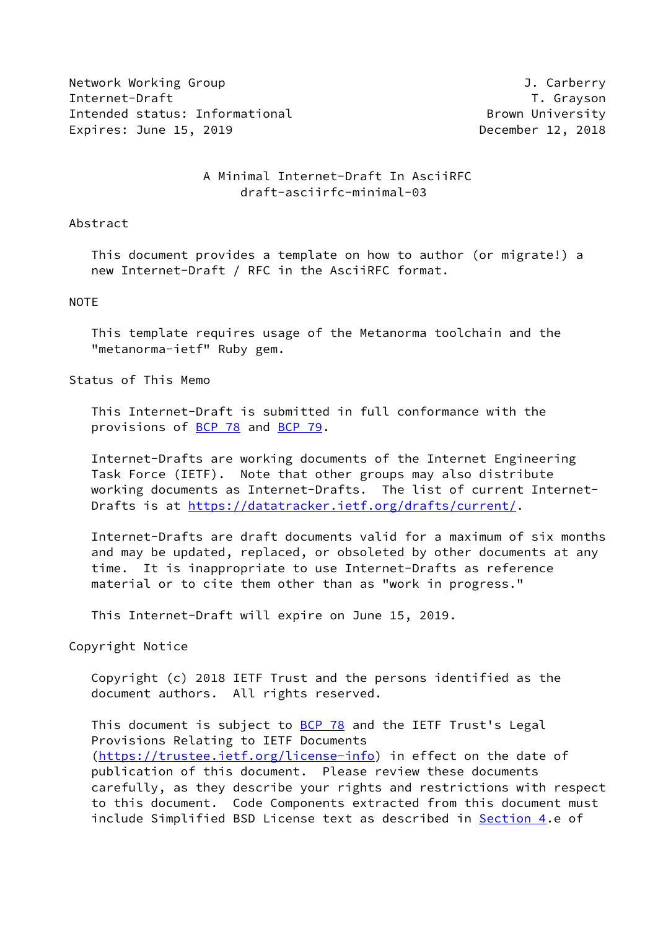Network Working Group **J. Carberry** Internet-Draft T. Grayson Intended status: Informational and a series of the Brown University Expires: June 15, 2019 **December 12, 2018** 

# A Minimal Internet-Draft In AsciiRFC draft-asciirfc-minimal-03

### Abstract

 This document provides a template on how to author (or migrate!) a new Internet-Draft / RFC in the AsciiRFC format.

#### NOTE

 This template requires usage of the Metanorma toolchain and the "metanorma-ietf" Ruby gem.

Status of This Memo

 This Internet-Draft is submitted in full conformance with the provisions of [BCP 78](https://datatracker.ietf.org/doc/pdf/bcp78) and [BCP 79](https://datatracker.ietf.org/doc/pdf/bcp79).

 Internet-Drafts are working documents of the Internet Engineering Task Force (IETF). Note that other groups may also distribute working documents as Internet-Drafts. The list of current Internet- Drafts is at<https://datatracker.ietf.org/drafts/current/>.

 Internet-Drafts are draft documents valid for a maximum of six months and may be updated, replaced, or obsoleted by other documents at any time. It is inappropriate to use Internet-Drafts as reference material or to cite them other than as "work in progress."

This Internet-Draft will expire on June 15, 2019.

Copyright Notice

 Copyright (c) 2018 IETF Trust and the persons identified as the document authors. All rights reserved.

This document is subject to **[BCP 78](https://datatracker.ietf.org/doc/pdf/bcp78)** and the IETF Trust's Legal Provisions Relating to IETF Documents [\(https://trustee.ietf.org/license-info](https://trustee.ietf.org/license-info)) in effect on the date of publication of this document. Please review these documents carefully, as they describe your rights and restrictions with respect to this document. Code Components extracted from this document must include Simplified BSD License text as described in [Section 4.](#page-2-0)e of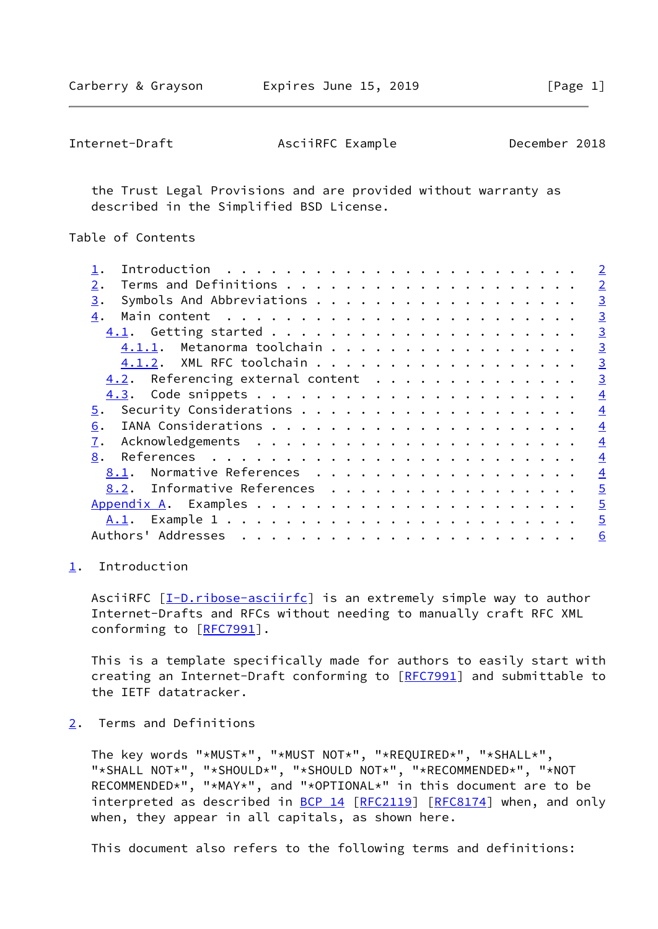<span id="page-1-1"></span>Internet-Draft AsciiRFC Example December 2018

 the Trust Legal Provisions and are provided without warranty as described in the Simplified BSD License.

Table of Contents

|                                      | $\overline{2}$ |
|--------------------------------------|----------------|
| 2.                                   | $\overline{2}$ |
| 3.                                   | $\overline{3}$ |
| 4.                                   | $\overline{3}$ |
|                                      | $\overline{3}$ |
| 4.1.1. Metanorma toolchain           | $\overline{3}$ |
| 4.1.2. XML RFC toolchain             | $\overline{3}$ |
| $4.2$ . Referencing external content | $\overline{3}$ |
|                                      | $\overline{4}$ |
| 5.                                   | $\overline{4}$ |
| 6.                                   | $\overline{4}$ |
| 7.                                   | $\overline{4}$ |
| 8.                                   | $\overline{4}$ |
| Normative References<br>8.1.         | $\overline{4}$ |
| 8.2. Informative References          | $\overline{5}$ |
|                                      | $\overline{5}$ |
|                                      | $\overline{5}$ |
|                                      | 6              |
|                                      |                |

### <span id="page-1-0"></span>[1](#page-1-0). Introduction

AsciiRFC [\[I-D.ribose-asciirfc](#page-4-5)] is an extremely simple way to author Internet-Drafts and RFCs without needing to manually craft RFC XML conforming to [[RFC7991](https://datatracker.ietf.org/doc/pdf/rfc7991)].

 This is a template specifically made for authors to easily start with creating an Internet-Draft conforming to [\[RFC7991](https://datatracker.ietf.org/doc/pdf/rfc7991)] and submittable to the IETF datatracker.

<span id="page-1-2"></span>[2](#page-1-2). Terms and Definitions

 The key words "\*MUST\*", "\*MUST NOT\*", "\*REQUIRED\*", "\*SHALL\*", "\*SHALL NOT\*", "\*SHOULD\*", "\*SHOULD NOT\*", "\*RECOMMENDED\*", "\*NOT RECOMMENDED\*", "\*MAY\*", and "\*OPTIONAL\*" in this document are to be interpreted as described in [BCP 14](https://datatracker.ietf.org/doc/pdf/bcp14) [[RFC2119\]](https://datatracker.ietf.org/doc/pdf/rfc2119) [\[RFC8174](https://datatracker.ietf.org/doc/pdf/rfc8174)] when, and only when, they appear in all capitals, as shown here.

This document also refers to the following terms and definitions: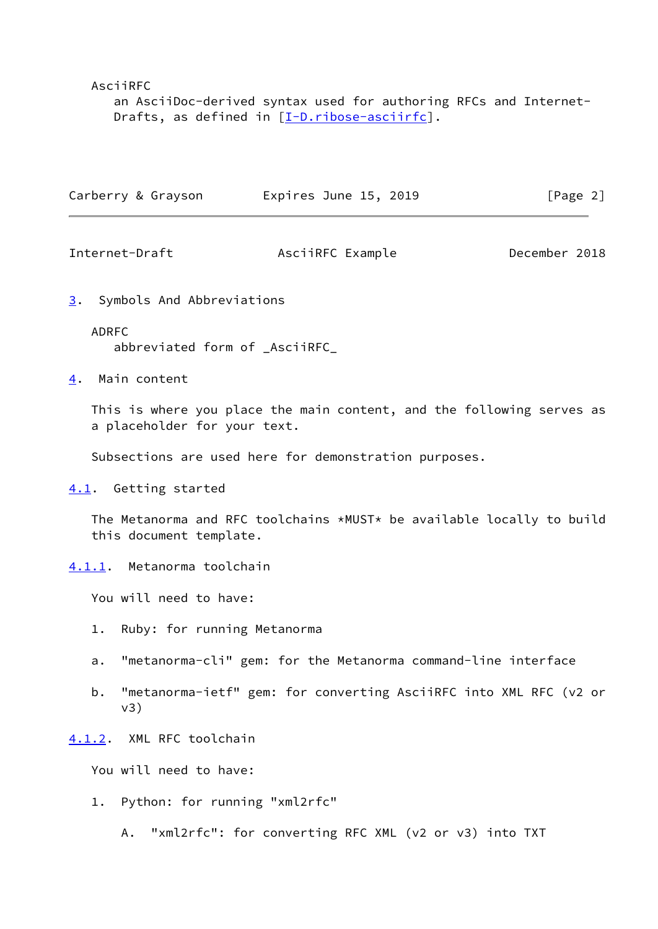AsciiRFC

 an AsciiDoc-derived syntax used for authoring RFCs and Internet- Drafts, as defined in [\[I-D.ribose-asciirfc](#page-4-5)].

| Carberry & Grayson | Expires June 15, 2019 | [Page 2] |
|--------------------|-----------------------|----------|
|                    |                       |          |

<span id="page-2-2"></span>Internet-Draft AsciiRFC Example December 2018

<span id="page-2-1"></span>[3](#page-2-1). Symbols And Abbreviations

## ADRFC

abbreviated form of \_AsciiRFC\_

<span id="page-2-0"></span>[4](#page-2-0). Main content

 This is where you place the main content, and the following serves as a placeholder for your text.

Subsections are used here for demonstration purposes.

<span id="page-2-3"></span>[4.1](#page-2-3). Getting started

 The Metanorma and RFC toolchains \*MUST\* be available locally to build this document template.

<span id="page-2-4"></span>[4.1.1](#page-2-4). Metanorma toolchain

You will need to have:

- 1. Ruby: for running Metanorma
- a. "metanorma-cli" gem: for the Metanorma command-line interface
- b. "metanorma-ietf" gem: for converting AsciiRFC into XML RFC (v2 or v3)

<span id="page-2-5"></span>[4.1.2](#page-2-5). XML RFC toolchain

You will need to have:

1. Python: for running "xml2rfc"

A. "xml2rfc": for converting RFC XML (v2 or v3) into TXT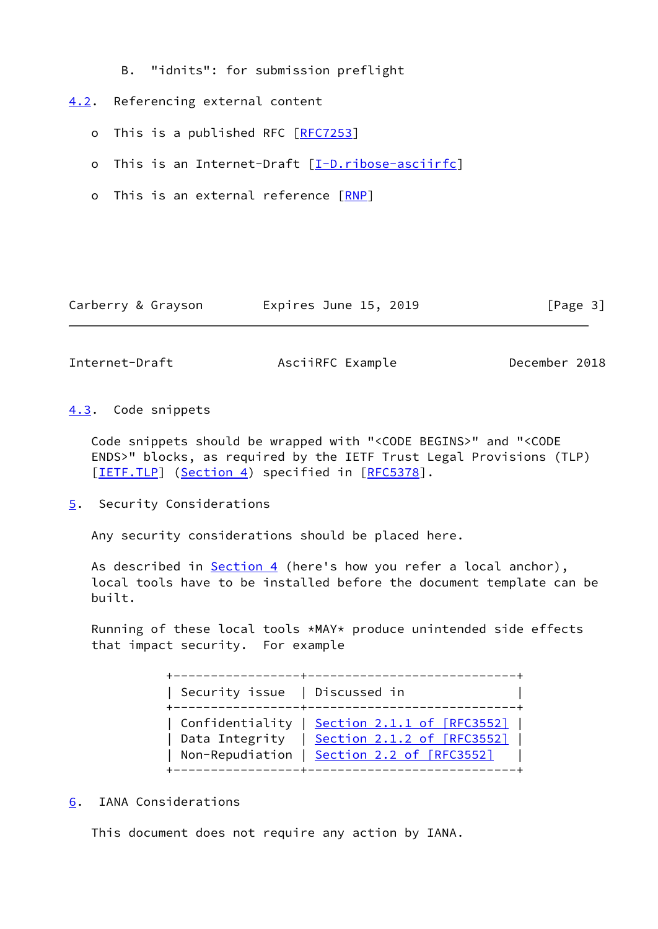B. "idnits": for submission preflight

# <span id="page-3-0"></span>[4.2](#page-3-0). Referencing external content

- o This is a published RFC [[RFC7253\]](https://datatracker.ietf.org/doc/pdf/rfc7253)
- o This is an Internet-Draft [\[I-D.ribose-asciirfc](#page-4-5)]
- o This is an external reference [\[RNP](#page-5-3)]

|  | Carberry & Grayson | Expires June 15, 2019 | [Page 3] |
|--|--------------------|-----------------------|----------|
|--|--------------------|-----------------------|----------|

<span id="page-3-2"></span>Internet-Draft AsciiRFC Example December 2018

<span id="page-3-1"></span>[4.3](#page-3-1). Code snippets

 Code snippets should be wrapped with "<CODE BEGINS>" and "<CODE ENDS>" blocks, as required by the IETF Trust Legal Provisions (TLP) [\[IETF.TLP](#page-4-6)] ([Section 4\)](#page-2-0) specified in [\[RFC5378](https://datatracker.ietf.org/doc/pdf/rfc5378)].

<span id="page-3-3"></span>[5](#page-3-3). Security Considerations

Any security considerations should be placed here.

As described in [Section 4](#page-2-0) (here's how you refer a local anchor), local tools have to be installed before the document template can be built.

 Running of these local tools \*MAY\* produce unintended side effects that impact security. For example

> +-----------------+----------------------------+ | Security issue | Discussed in | +-----------------+----------------------------+ | Confidentiality | Section [2.1.1 of \[RFC3552\]](https://datatracker.ietf.org/doc/pdf/rfc3552#section-2.1.1) | | Data Integrity | Section [2.1.2 of \[RFC3552\]](https://datatracker.ietf.org/doc/pdf/rfc3552#section-2.1.2) | | Non-Repudiation | Section [2.2 of \[RFC3552\]](https://datatracker.ietf.org/doc/pdf/rfc3552#section-2.2) +-----------------+----------------------------+

<span id="page-3-4"></span>[6](#page-3-4). IANA Considerations

This document does not require any action by IANA.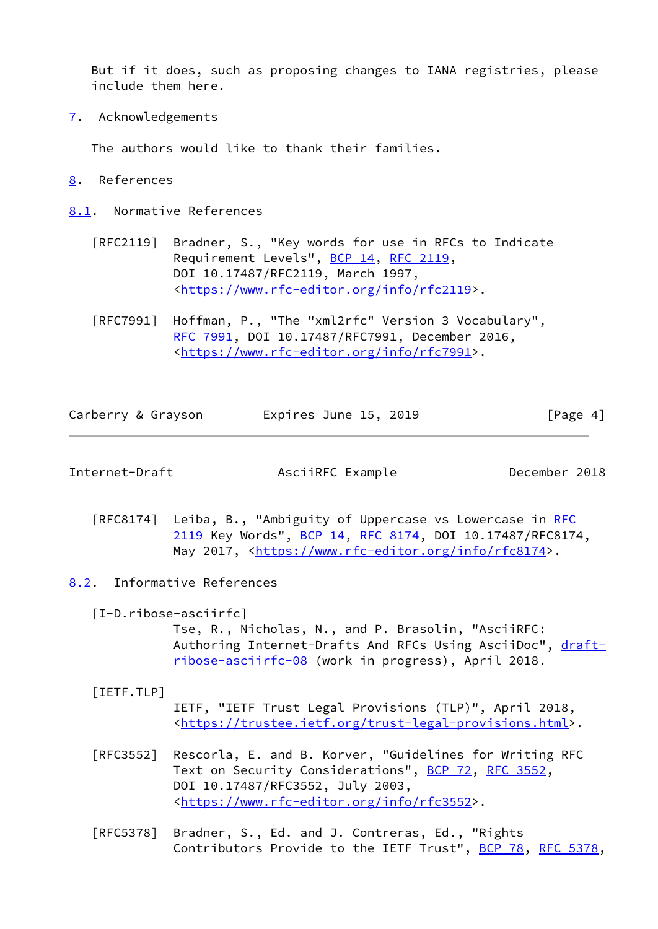But if it does, such as proposing changes to IANA registries, please include them here.

<span id="page-4-0"></span>[7](#page-4-0). Acknowledgements

The authors would like to thank their families.

- <span id="page-4-1"></span>[8](#page-4-1). References
- <span id="page-4-2"></span>[8.1](#page-4-2). Normative References
	- [RFC2119] Bradner, S., "Key words for use in RFCs to Indicate Requirement Levels", [BCP 14](https://datatracker.ietf.org/doc/pdf/bcp14), [RFC 2119](https://datatracker.ietf.org/doc/pdf/rfc2119), DOI 10.17487/RFC2119, March 1997, <[https://www.rfc-editor.org/info/rfc2119>](https://www.rfc-editor.org/info/rfc2119).
	- [RFC7991] Hoffman, P., "The "xml2rfc" Version 3 Vocabulary", [RFC 7991,](https://datatracker.ietf.org/doc/pdf/rfc7991) DOI 10.17487/RFC7991, December 2016, <[https://www.rfc-editor.org/info/rfc7991>](https://www.rfc-editor.org/info/rfc7991).

| Carberry & Grayson | Expires June 15, 2019 | [Page 4] |
|--------------------|-----------------------|----------|
|                    |                       |          |

<span id="page-4-4"></span>Internet-Draft AsciiRFC Example December 2018

- [RFC8174] Leiba, B., "Ambiguity of Uppercase vs Lowercase in [RFC](https://datatracker.ietf.org/doc/pdf/rfc2119) [2119](https://datatracker.ietf.org/doc/pdf/rfc2119) Key Words", [BCP 14](https://datatracker.ietf.org/doc/pdf/bcp14), [RFC 8174,](https://datatracker.ietf.org/doc/pdf/rfc8174) DOI 10.17487/RFC8174, May 2017, [<https://www.rfc-editor.org/info/rfc8174](https://www.rfc-editor.org/info/rfc8174)>.
- <span id="page-4-5"></span><span id="page-4-3"></span>[8.2](#page-4-3). Informative References
	- [I-D.ribose-asciirfc]

 Tse, R., Nicholas, N., and P. Brasolin, "AsciiRFC: Authoring Internet-Drafts And RFCs Using AsciiDoc", [draft](https://datatracker.ietf.org/doc/pdf/draft-ribose-asciirfc-08) [ribose-asciirfc-08](https://datatracker.ietf.org/doc/pdf/draft-ribose-asciirfc-08) (work in progress), April 2018.

### <span id="page-4-6"></span>[IETF.TLP]

 IETF, "IETF Trust Legal Provisions (TLP)", April 2018, <[https://trustee.ietf.org/trust-legal-provisions.html>](https://trustee.ietf.org/trust-legal-provisions.html).

- [RFC3552] Rescorla, E. and B. Korver, "Guidelines for Writing RFC Text on Security Considerations", [BCP 72](https://datatracker.ietf.org/doc/pdf/bcp72), [RFC 3552](https://datatracker.ietf.org/doc/pdf/rfc3552), DOI 10.17487/RFC3552, July 2003, <[https://www.rfc-editor.org/info/rfc3552>](https://www.rfc-editor.org/info/rfc3552).
- [RFC5378] Bradner, S., Ed. and J. Contreras, Ed., "Rights Contributors Provide to the IETF Trust", [BCP 78](https://datatracker.ietf.org/doc/pdf/bcp78), [RFC 5378,](https://datatracker.ietf.org/doc/pdf/rfc5378)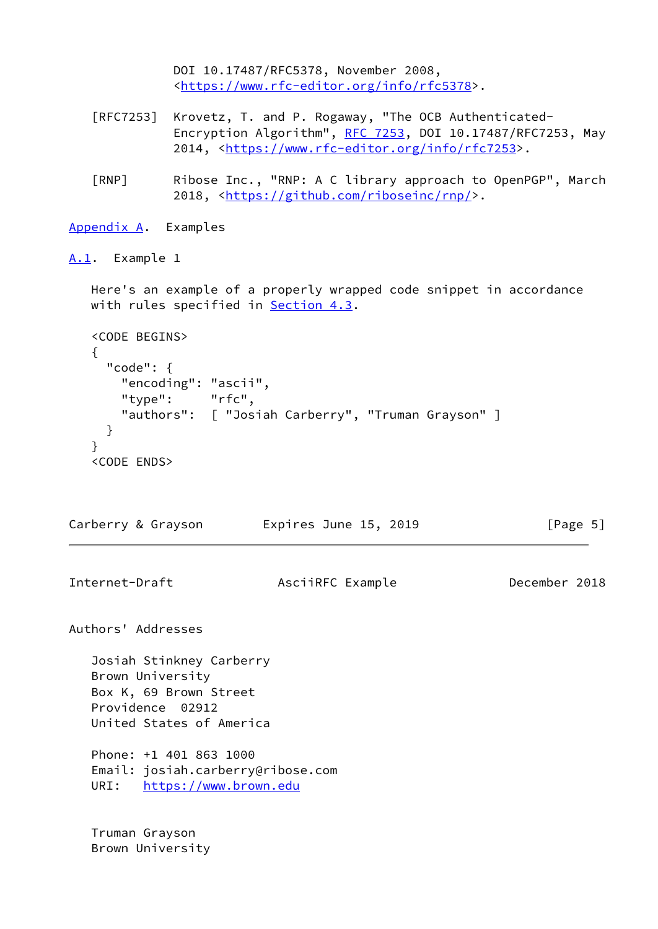```
 DOI 10.17487/RFC5378, November 2008,
              <https://www.rfc-editor.org/info/rfc5378>.
    [RFC7253] Krovetz, T. and P. Rogaway, "The OCB Authenticated-
              RFC 7253, DOI 10.17487/RFC7253, May
              2014, <https://www.rfc-editor.org/info/rfc7253>.
    [RNP] Ribose Inc., "RNP: A C library approach to OpenPGP", March
              2018, <https://github.com/riboseinc/rnp/>.
Appendix A. Examples
A.1. Example 1
   Here's an example of a properly wrapped code snippet in accordance
   with rules specified in Section 4.3.
   <CODE BEGINS>
   {
     "code": {
       "encoding": "ascii",
       "type": "rfc",
       "authors": [ "Josiah Carberry", "Truman Grayson" ]
     }
   }
   <CODE ENDS>
Carberry & Grayson Expires June 15, 2019 [Page 5]
Internet-Draft AsciiRFC Example December 2018
Authors' Addresses
   Josiah Stinkney Carberry
   Brown University
   Box K, 69 Brown Street
   Providence 02912
   United States of America
   Phone: +1 401 863 1000
   Email: josiah.carberry@ribose.com
   URI: https://www.brown.edu
   Truman Grayson
```
<span id="page-5-2"></span>Brown University